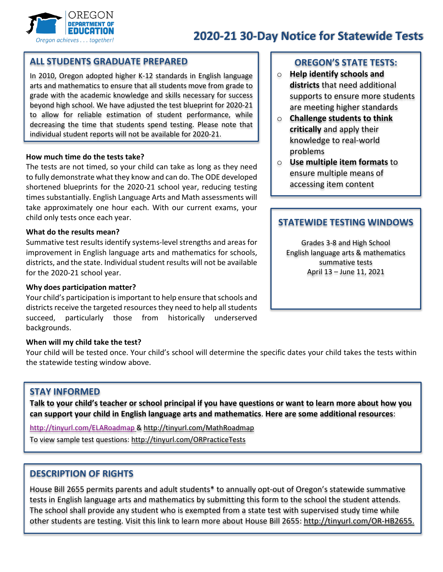

# **2020-21 30-Day Notice for Statewide Tests**

## **ALL STUDENTS GRADUATE PREPARED**

In 2010, Oregon adopted higher K-12 standards in English language arts and mathematics to ensure that all students move from grade to grade with the academic knowledge and skills necessary for success beyond high school. We have adjusted the test blueprint for 2020-21 to allow for reliable estimation of student performance, while decreasing the time that students spend testing. Please note that individual student reports will not be available for 2020-21.

#### **How much time do the tests take?**

The tests are not timed, so your child can take as long as they need to fully demonstrate what they know and can do. The ODE developed shortened blueprints for the 2020-21 school year, reducing testing times substantially. English Language Arts and Math assessments will take approximately one hour each. With our current exams, your child only tests once each year.

#### **What do the results mean?**

Summative test results identify systems-level strengths and areas for improvement in English language arts and mathematics for schools, districts, and the state. Individual student results will not be available for the 2020-21 school year.

#### **Why does participation matter?**

Your child's participation is important to help ensure that schools and districts receive the targeted resources they need to help all students succeed, particularly those from historically underserved backgrounds.

#### **When will my child take the test?**

Your child will be tested once. Your child's school will determine the specific dates your child takes the tests within the statewide testing window above.

#### **STAY INFORMED**

**Talk to your child's teacher or school principal if you have questions or want to learn more about how you can support your child in English language arts and mathematics**. **Here are some additional resources**:

<http://tinyurl.com/ELARoadmap>[& http://tinyurl.com/MathRoadmap](http://tinyurl.com/MathRoadmap)

To view sample test questions:<http://tinyurl.com/ORPracticeTests>

#### **DESCRIPTION OF RIGHTS**

House Bill 2655 permits parents and adult students\* to annually opt-out of Oregon's statewide summative tests in English language arts and mathematics by submitting this form to the school the student attends. The school shall provide any student who is exempted from a state test with supervised study time while other students are testing. Visit this link to learn more about House Bill 2655: [http://tinyurl.com/OR-HB2655.](http://tinyurl.com/OR-HB2655)

#### **OREGON'S STATE TESTS:**

- o **Help identify schools and districts** that need additional supports to ensure more students are meeting higher standards
- o **Challenge students to think critically** and apply their knowledge to real-world problems
- o **Use multiple item formats** to ensure multiple means of accessing item content

## **STATEWIDE TESTING WINDOWS**

Grades 3-8 and High School English language arts & mathematics summative tests April 13 – June 11, 2021